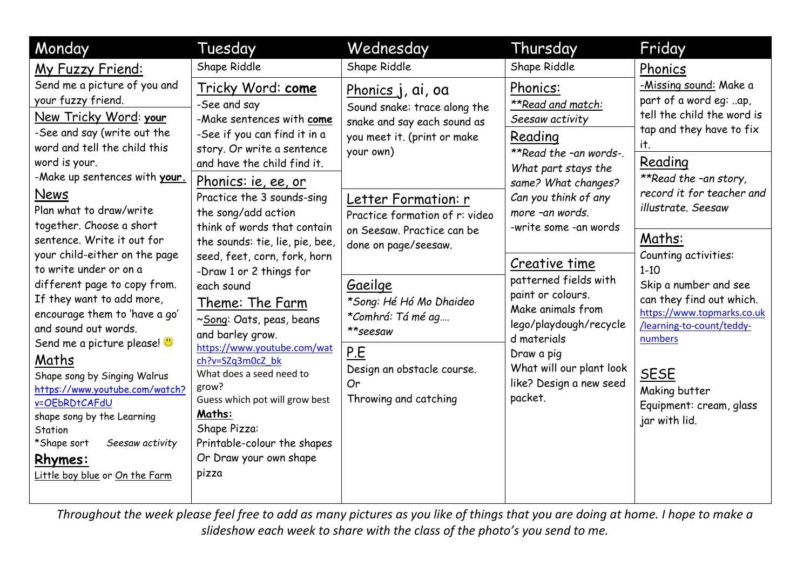| Monday                                                                                                                                                                                                                                                                                                                                                                                                                                                                                                                                                                                                                                                                                                                                        | Tuesday                                                                                                                                                                                                                                                                                                                                                                                                                                                                                                                                                                                                                                                                            | Wednesday                                                                                                                                                                                                                                                                                                                                                                              | Thursday                                                                                                                                                                                                                                                                                                                                                                                                             | Friday                                                                                                                                                                                                                                                                                                                                                                                                                                                        |
|-----------------------------------------------------------------------------------------------------------------------------------------------------------------------------------------------------------------------------------------------------------------------------------------------------------------------------------------------------------------------------------------------------------------------------------------------------------------------------------------------------------------------------------------------------------------------------------------------------------------------------------------------------------------------------------------------------------------------------------------------|------------------------------------------------------------------------------------------------------------------------------------------------------------------------------------------------------------------------------------------------------------------------------------------------------------------------------------------------------------------------------------------------------------------------------------------------------------------------------------------------------------------------------------------------------------------------------------------------------------------------------------------------------------------------------------|----------------------------------------------------------------------------------------------------------------------------------------------------------------------------------------------------------------------------------------------------------------------------------------------------------------------------------------------------------------------------------------|----------------------------------------------------------------------------------------------------------------------------------------------------------------------------------------------------------------------------------------------------------------------------------------------------------------------------------------------------------------------------------------------------------------------|---------------------------------------------------------------------------------------------------------------------------------------------------------------------------------------------------------------------------------------------------------------------------------------------------------------------------------------------------------------------------------------------------------------------------------------------------------------|
| My Fuzzy Friend:                                                                                                                                                                                                                                                                                                                                                                                                                                                                                                                                                                                                                                                                                                                              | Shape Riddle                                                                                                                                                                                                                                                                                                                                                                                                                                                                                                                                                                                                                                                                       | Shape Riddle                                                                                                                                                                                                                                                                                                                                                                           | Shape Riddle                                                                                                                                                                                                                                                                                                                                                                                                         | Phonics                                                                                                                                                                                                                                                                                                                                                                                                                                                       |
| Send me a picture of you and<br>your fuzzy friend.<br>New Tricky Word: your<br>-See and say (write out the<br>word and tell the child this<br>word is your.<br>-Make up sentences with your.<br>News<br>Plan what to draw/write<br>together. Choose a short<br>sentence. Write it out for<br>your child-either on the page<br>to write under or on a<br>different page to copy from.<br>If they want to add more,<br>encourage them to 'have a go'<br>and sound out words.<br>Send me a picture please! $\bigcirc$<br>Maths<br>Shape song by Singing Walrus<br>https://www.youtube.com/watch?<br>v=OEbRDtCAFdU<br>shape song by the Learning<br>Station<br>*Shape sort<br>Seesaw activity<br><u>Rhymes:</u><br>Little boy blue or On the Farm | Tricky Word: come<br>-See and say<br>-Make sentences with come<br>-See if you can find it in a<br>story. Or write a sentence<br>and have the child find it.<br><u>Phonics: ie, ee, or</u><br>Practice the 3 sounds-sing<br>the song/add action<br>think of words that contain<br>the sounds: tie, lie, pie, bee,<br>seed, feet, corn, fork, horn<br>-Draw 1 or 2 things for<br>each sound<br>Theme: The Farm<br>~Song: Oats, peas, beans<br>and barley grow.<br>https://www.youtube.com/wat<br>ch?v=SZq3m0cZ bk<br>What does a seed need to<br>grow?<br>Guess which pot will grow best<br>Maths:<br>Shape Pizza:<br>Printable-colour the shapes<br>Or Draw your own shape<br>pizza | Phonics j, ai, oa<br>Sound snake: trace along the<br>snake and say each sound as<br>you meet it. (print or make<br>your own)<br>Letter Formation: r<br>Practice formation of r: video<br>on Seesaw. Practice can be<br>done on page/seesaw.<br>Gaeilge<br>*Song: Hé Hó Mo Dhaideo<br>*Comhrá: Tá mé ag<br>**seesaw<br>P.E<br>Design an obstacle course.<br>Or<br>Throwing and catching | Phonics:<br>**Read and match:<br>Seesaw activity<br>Reading<br>**Read the -an words-.<br>What part stays the<br>same? What changes?<br>Can you think of any<br>more -an words.<br>-write some -an words<br>Creative time<br>patterned fields with<br>paint or colours.<br>Make animals from<br>lego/playdough/recycle<br>d materials<br>Draw a pig<br>What will our plant look<br>like? Design a new seed<br>packet. | -Missing sound: Make a<br>part of a word eg: ap,<br>tell the child the word is<br>tap and they have to fix<br>it.<br>Reading<br>**Read the -an story,<br>record it for teacher and<br>illustrate. Seesaw<br>Maths:<br>Counting activities:<br>$1 - 10$<br>Skip a number and see<br>can they find out which.<br>https://www.topmarks.co.uk<br>/learning-to-count/teddy-<br>numbers<br><b>SESE</b><br>Making butter<br>Equipment: cream, glass<br>jar with lid. |

*Throughout the week please feel free to add as many pictures as you like of things that you are doing at home. I hope to make a slideshow each week to share with the class of the photo's you send to me.*